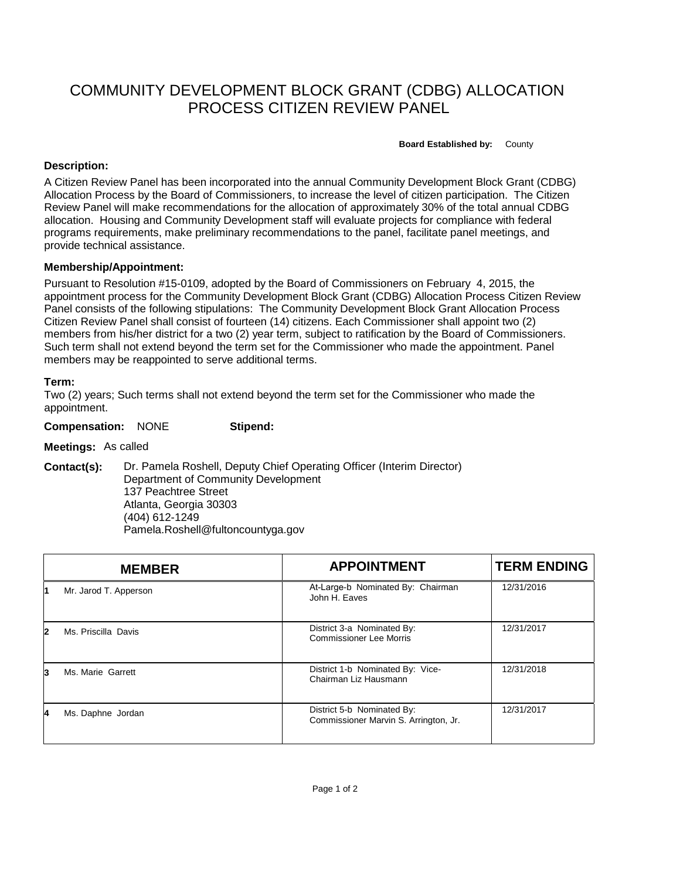# COMMUNITY DEVELOPMENT BLOCK GRANT (CDBG) ALLOCATION PROCESS CITIZEN REVIEW PANEL

**Board Established by:** County

## **Description:**

A Citizen Review Panel has been incorporated into the annual Community Development Block Grant (CDBG) Allocation Process by the Board of Commissioners, to increase the level of citizen participation. The Citizen Review Panel will make recommendations for the allocation of approximately 30% of the total annual CDBG allocation. Housing and Community Development staff will evaluate projects for compliance with federal programs requirements, make preliminary recommendations to the panel, facilitate panel meetings, and provide technical assistance.

### **Membership/Appointment:**

Pursuant to Resolution #15-0109, adopted by the Board of Commissioners on February 4, 2015, the appointment process for the Community Development Block Grant (CDBG) Allocation Process Citizen Review Panel consists of the following stipulations: The Community Development Block Grant Allocation Process Citizen Review Panel shall consist of fourteen (14) citizens. Each Commissioner shall appoint two (2) members from his/her district for a two (2) year term, subject to ratification by the Board of Commissioners. Such term shall not extend beyond the term set for the Commissioner who made the appointment. Panel members may be reappointed to serve additional terms.

### **Term:**

Two (2) years; Such terms shall not extend beyond the term set for the Commissioner who made the appointment.

**Compensation:** NONE **Stipend:**

#### **Meetings:** As called

**Contact(s):** Dr. Pamela Roshell, Deputy Chief Operating Officer (Interim Director) Department of Community Development 137 Peachtree Street Atlanta, Georgia 30303 (404) 612-1249 Pamela.Roshell@fultoncountyga.gov

|   | <b>MEMBER</b>         | <b>APPOINTMENT</b>                                                  | <b>TERM ENDING</b> |
|---|-----------------------|---------------------------------------------------------------------|--------------------|
|   | Mr. Jarod T. Apperson | At-Large-b Nominated By: Chairman<br>John H. Eaves                  | 12/31/2016         |
| 2 | Ms. Priscilla Davis   | District 3-a Nominated By:<br><b>Commissioner Lee Morris</b>        | 12/31/2017         |
| 3 | Ms. Marie Garrett     | District 1-b Nominated By: Vice-<br>Chairman Liz Hausmann           | 12/31/2018         |
| 4 | Ms. Daphne Jordan     | District 5-b Nominated By:<br>Commissioner Marvin S. Arrington, Jr. | 12/31/2017         |